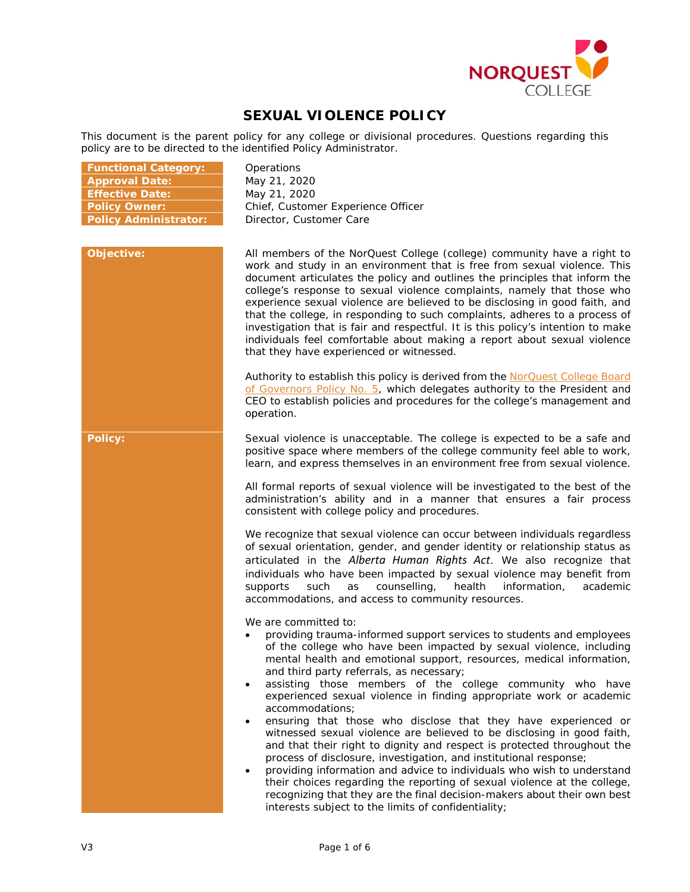

# **SEXUAL VIOLENCE POLICY**

This document is the parent policy for any college or divisional procedures. Questions regarding this policy are to be directed to the identified Policy Administrator.

| <b>Functional Category:</b>  | Operations                                                                                                                                                                                                                                                                                                                                                                                                                                                                                                                                                                                                                                                                                                                                                                                                                                                                                                                                                                                                                                       |
|------------------------------|--------------------------------------------------------------------------------------------------------------------------------------------------------------------------------------------------------------------------------------------------------------------------------------------------------------------------------------------------------------------------------------------------------------------------------------------------------------------------------------------------------------------------------------------------------------------------------------------------------------------------------------------------------------------------------------------------------------------------------------------------------------------------------------------------------------------------------------------------------------------------------------------------------------------------------------------------------------------------------------------------------------------------------------------------|
| <b>Approval Date:</b>        | May 21, 2020                                                                                                                                                                                                                                                                                                                                                                                                                                                                                                                                                                                                                                                                                                                                                                                                                                                                                                                                                                                                                                     |
| <b>Effective Date:</b>       | May 21, 2020                                                                                                                                                                                                                                                                                                                                                                                                                                                                                                                                                                                                                                                                                                                                                                                                                                                                                                                                                                                                                                     |
| <b>Policy Owner:</b>         | Chief, Customer Experience Officer                                                                                                                                                                                                                                                                                                                                                                                                                                                                                                                                                                                                                                                                                                                                                                                                                                                                                                                                                                                                               |
| <b>Policy Administrator:</b> | Director, Customer Care                                                                                                                                                                                                                                                                                                                                                                                                                                                                                                                                                                                                                                                                                                                                                                                                                                                                                                                                                                                                                          |
|                              |                                                                                                                                                                                                                                                                                                                                                                                                                                                                                                                                                                                                                                                                                                                                                                                                                                                                                                                                                                                                                                                  |
| Objective:                   | All members of the NorQuest College (college) community have a right to<br>work and study in an environment that is free from sexual violence. This<br>document articulates the policy and outlines the principles that inform the<br>college's response to sexual violence complaints, namely that those who<br>experience sexual violence are believed to be disclosing in good faith, and<br>that the college, in responding to such complaints, adheres to a process of<br>investigation that is fair and respectful. It is this policy's intention to make<br>individuals feel comfortable about making a report about sexual violence<br>that they have experienced or witnessed.                                                                                                                                                                                                                                                                                                                                                          |
|                              | Authority to establish this policy is derived from the NorQuest College Board<br>of Governors Policy No. 5, which delegates authority to the President and<br>CEO to establish policies and procedures for the college's management and<br>operation.                                                                                                                                                                                                                                                                                                                                                                                                                                                                                                                                                                                                                                                                                                                                                                                            |
| <b>Policy:</b>               | Sexual violence is unacceptable. The college is expected to be a safe and<br>positive space where members of the college community feel able to work,<br>learn, and express themselves in an environment free from sexual violence.                                                                                                                                                                                                                                                                                                                                                                                                                                                                                                                                                                                                                                                                                                                                                                                                              |
|                              | All formal reports of sexual violence will be investigated to the best of the<br>administration's ability and in a manner that ensures a fair process<br>consistent with college policy and procedures.                                                                                                                                                                                                                                                                                                                                                                                                                                                                                                                                                                                                                                                                                                                                                                                                                                          |
|                              | We recognize that sexual violence can occur between individuals regardless<br>of sexual orientation, gender, and gender identity or relationship status as<br>articulated in the Alberta Human Rights Act. We also recognize that<br>individuals who have been impacted by sexual violence may benefit from<br>counselling,<br>supports<br>such<br>as<br>health<br>information,<br>academic<br>accommodations, and access to community resources.                                                                                                                                                                                                                                                                                                                                                                                                                                                                                                                                                                                                |
|                              | We are committed to:<br>providing trauma-informed support services to students and employees<br>of the college who have been impacted by sexual violence, including<br>mental health and emotional support, resources, medical information,<br>and third party referrals, as necessary;<br>assisting those members of the college community who have<br>experienced sexual violence in finding appropriate work or academic<br>accommodations;<br>ensuring that those who disclose that they have experienced or<br>$\bullet$<br>witnessed sexual violence are believed to be disclosing in good faith,<br>and that their right to dignity and respect is protected throughout the<br>process of disclosure, investigation, and institutional response;<br>providing information and advice to individuals who wish to understand<br>their choices regarding the reporting of sexual violence at the college,<br>recognizing that they are the final decision-makers about their own best<br>interests subject to the limits of confidentiality; |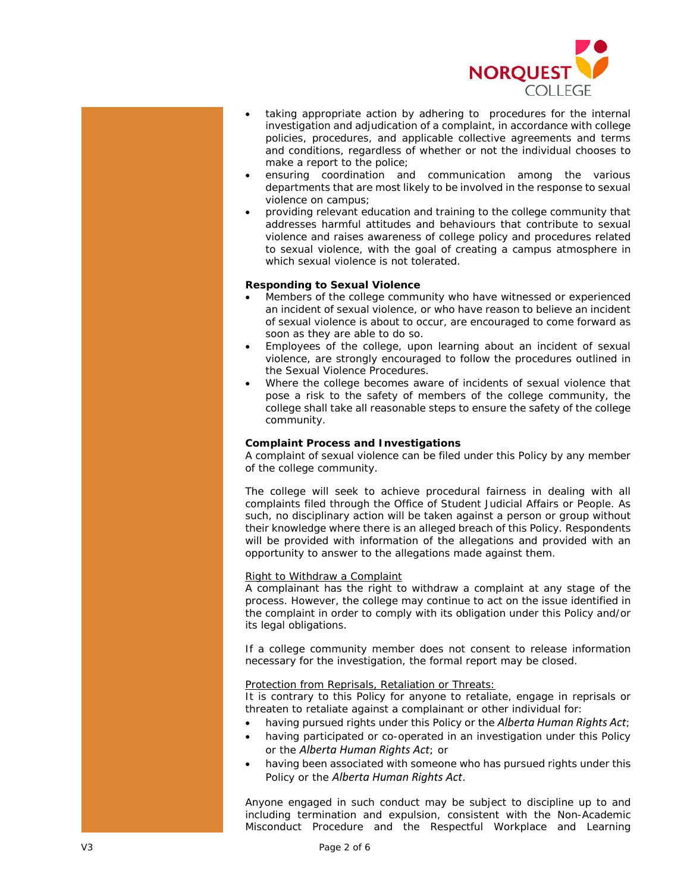

- taking appropriate action by adhering to procedures for the internal investigation and adjudication of a complaint, in accordance with college policies, procedures, and applicable collective agreements and terms and conditions, regardless of whether or not the individual chooses to make a report to the police;
- ensuring coordination and communication among the various departments that are most likely to be involved in the response to sexual violence on campus;
- providing relevant education and training to the college community that addresses harmful attitudes and behaviours that contribute to sexual violence and raises awareness of college policy and procedures related to sexual violence, with the goal of creating a campus atmosphere in which sexual violence is not tolerated.

# **Responding to Sexual Violence**

- Members of the college community who have witnessed or experienced an incident of sexual violence, or who have reason to believe an incident of sexual violence is about to occur, are encouraged to come forward as soon as they are able to do so.
- Employees of the college, upon learning about an incident of sexual violence, are strongly encouraged to follow the procedures outlined in the Sexual Violence Procedures.
- Where the college becomes aware of incidents of sexual violence that pose a risk to the safety of members of the college community, the college shall take all reasonable steps to ensure the safety of the college community.

# **Complaint Process and Investigations**

A complaint of sexual violence can be filed under this Policy by any member of the college community.

The college will seek to achieve procedural fairness in dealing with all complaints filed through the Office of Student Judicial Affairs or People. As such, no disciplinary action will be taken against a person or group without their knowledge where there is an alleged breach of this Policy. Respondents will be provided with information of the allegations and provided with an opportunity to answer to the allegations made against them.

# Right to Withdraw a Complaint

A complainant has the right to withdraw a complaint at any stage of the process. However, the college may continue to act on the issue identified in the complaint in order to comply with its obligation under this Policy and/or its legal obligations.

If a college community member does not consent to release information necessary for the investigation, the formal report may be closed.

# Protection from Reprisals, Retaliation or Threats:

It is contrary to this Policy for anyone to retaliate, engage in reprisals or threaten to retaliate against a complainant or other individual for:

- having pursued rights under this Policy or the *Alberta Human Rights Act*;
- having participated or co-operated in an investigation under this Policy or the *Alberta Human Rights Act*; or
- having been associated with someone who has pursued rights under this Policy or the *Alberta Human Rights Act*.

Anyone engaged in such conduct may be subject to discipline up to and including termination and expulsion, consistent with the Non-Academic Misconduct Procedure and the Respectful Workplace and Learning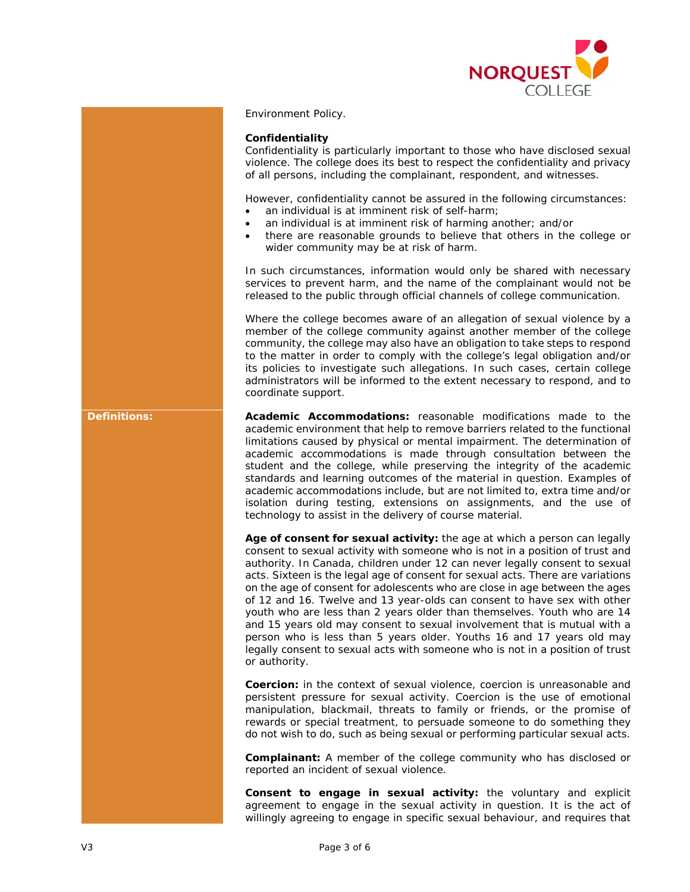

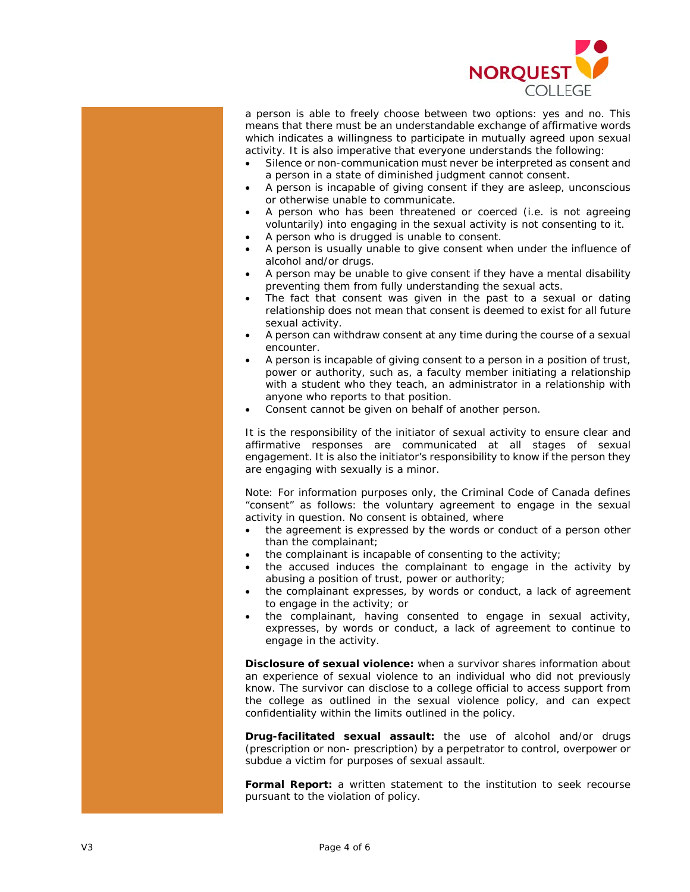

a person is able to freely choose between two options: yes and no. This means that there must be an understandable exchange of affirmative words which indicates a willingness to participate in mutually agreed upon sexual activity. It is also imperative that everyone understands the following:

- Silence or non-communication must never be interpreted as consent and a person in a state of diminished judgment cannot consent.
- A person is incapable of giving consent if they are asleep, unconscious or otherwise unable to communicate.
- A person who has been threatened or coerced (i.e. is not agreeing voluntarily) into engaging in the sexual activity is not consenting to it.
- A person who is drugged is unable to consent.
- A person is usually unable to give consent when under the influence of alcohol and/or drugs.
- A person may be unable to give consent if they have a mental disability preventing them from fully understanding the sexual acts.
- The fact that consent was given in the past to a sexual or dating relationship does not mean that consent is deemed to exist for all future sexual activity.
- A person can withdraw consent at any time during the course of a sexual encounter.
- A person is incapable of giving consent to a person in a position of trust, power or authority, such as, a faculty member initiating a relationship with a student who they teach, an administrator in a relationship with anyone who reports to that position.
- Consent cannot be given on behalf of another person.

It is the responsibility of the initiator of sexual activity to ensure clear and affirmative responses are communicated at all stages of sexual engagement. It is also the initiator's responsibility to know if the person they are engaging with sexually is a minor.

Note: For information purposes only, the [Criminal Code of Canada](https://laws-lois.justice.gc.ca/eng/acts/c-46/) defines "consent" as follows: the voluntary agreement to engage in the sexual activity in question. No consent is obtained, where

- the agreement is expressed by the words or conduct of a person other than the complainant;
- the complainant is incapable of consenting to the activity;
- the accused induces the complainant to engage in the activity by abusing a position of trust, power or authority;
- the complainant expresses, by words or conduct, a lack of agreement to engage in the activity; or
- the complainant, having consented to engage in sexual activity, expresses, by words or conduct, a lack of agreement to continue to engage in the activity.

**Disclosure of sexual violence:** when a survivor shares information about an experience of sexual violence to an individual who did not previously know. The survivor can disclose to a college official to access support from the college as outlined in the sexual violence policy, and can expect confidentiality within the limits outlined in the policy.

**Drug-facilitated sexual assault:** the use of alcohol and/or drugs (prescription or non- prescription) by a perpetrator to control, overpower or subdue a victim for purposes of sexual assault.

**Formal Report:** a written statement to the institution to seek recourse pursuant to the violation of policy.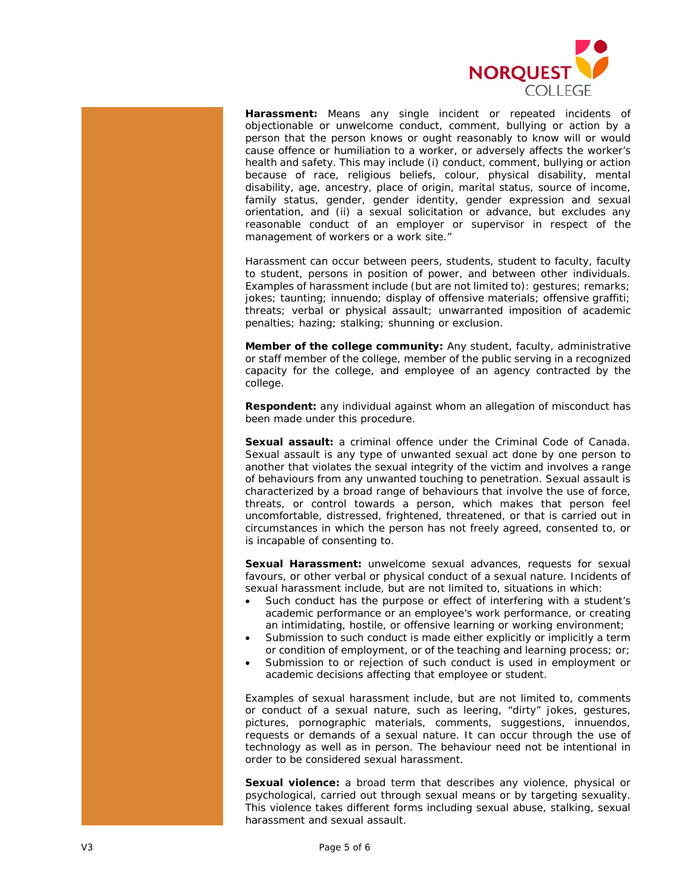

**Harassment:** Means any single incident or repeated incidents of objectionable or unwelcome conduct, comment, bullying or action by a person that the person knows or ought reasonably to know will or would cause offence or humiliation to a worker, or adversely affects the worker's health and safety. This may include (i) conduct, comment, bullying or action because of race, religious beliefs, colour, physical disability, mental disability, age, ancestry, place of origin, marital status, source of income, family status, gender, gender identity, gender expression and sexual orientation, and (ii) a sexual solicitation or advance, but excludes any reasonable conduct of an employer or supervisor in respect of the management of workers or a work site."

Harassment can occur between peers, students, student to faculty, faculty to student, persons in position of power, and between other individuals. Examples of harassment include (but are not limited to): gestures; remarks; jokes; taunting; innuendo; display of offensive materials; offensive graffiti; threats; verbal or physical assault; unwarranted imposition of academic penalties; hazing; stalking; shunning or exclusion.

**Member of the college community:** Any student, faculty, administrative or staff member of the college, member of the public serving in a recognized capacity for the college, and employee of an agency contracted by the college.

**Respondent:** any individual against whom an allegation of misconduct has been made under this procedure.

**Sexual assault:** a criminal offence under the [Criminal Code of Canada.](https://laws-lois.justice.gc.ca/eng/acts/c-46/) Sexual assault is any type of unwanted sexual act done by one person to another that violates the sexual integrity of the victim and involves a range of behaviours from any unwanted touching to penetration. Sexual assault is characterized by a broad range of behaviours that involve the use of force, threats, or control towards a person, which makes that person feel uncomfortable, distressed, frightened, threatened, or that is carried out in circumstances in which the person has not freely agreed, consented to, or is incapable of consenting to.

**Sexual Harassment:** unwelcome sexual advances, requests for sexual favours, or other verbal or physical conduct of a sexual nature. Incidents of sexual harassment include, but are not limited to, situations in which:

- Such conduct has the purpose or effect of interfering with a student's academic performance or an employee's work performance, or creating an intimidating, hostile, or offensive learning or working environment;
- Submission to such conduct is made either explicitly or implicitly a term or condition of employment, or of the teaching and learning process; or;
- Submission to or rejection of such conduct is used in employment or academic decisions affecting that employee or student.

Examples of sexual harassment include, but are not limited to, comments or conduct of a sexual nature, such as leering, "dirty" jokes, gestures, pictures, pornographic materials, comments, suggestions, innuendos, requests or demands of a sexual nature. It can occur through the use of technology as well as in person. The behaviour need not be intentional in order to be considered sexual harassment.

**Sexual violence:** a broad term that describes any violence, physical or psychological, carried out through sexual means or by targeting sexuality. This violence takes different forms including sexual abuse, stalking, sexual harassment and sexual assault.